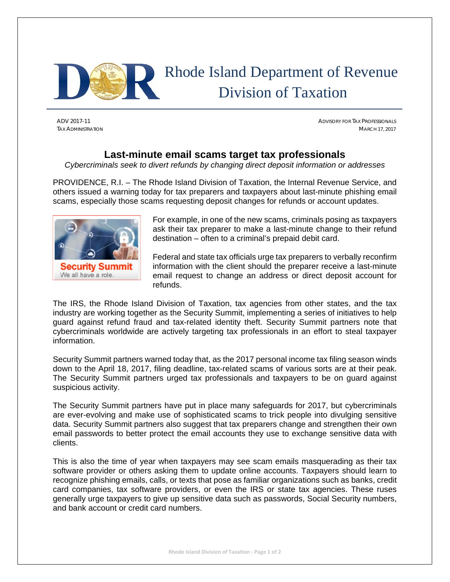

ADV 2017-11 ADVISORY FOR TAX PROFESSIONALS TAX ADMINISTRATION MARCH 17, 2017

## **Last-minute email scams target tax professionals**

*Cybercriminals seek to divert refunds by changing direct deposit information or addresses* 

PROVIDENCE, R.I. – The Rhode Island Division of Taxation, the Internal Revenue Service, and others issued a warning today for tax preparers and taxpayers about last-minute phishing email scams, especially those scams requesting deposit changes for refunds or account updates.



For example, in one of the new scams, criminals posing as taxpayers ask their tax preparer to make a last-minute change to their refund destination – often to a criminal's prepaid debit card.

Federal and state tax officials urge tax preparers to verbally reconfirm information with the client should the preparer receive a last-minute email request to change an address or direct deposit account for refunds.

The IRS, the Rhode Island Division of Taxation, tax agencies from other states, and the tax industry are working together as the Security Summit, implementing a series of initiatives to help guard against refund fraud and tax-related identity theft. Security Summit partners note that cybercriminals worldwide are actively targeting tax professionals in an effort to steal taxpayer information.

Security Summit partners warned today that, as the 2017 personal income tax filing season winds down to the April 18, 2017, filing deadline, tax-related scams of various sorts are at their peak. The Security Summit partners urged tax professionals and taxpayers to be on guard against suspicious activity.

The Security Summit partners have put in place many safeguards for 2017, but cybercriminals are ever-evolving and make use of sophisticated scams to trick people into divulging sensitive data. Security Summit partners also suggest that tax preparers change and strengthen their own email passwords to better protect the email accounts they use to exchange sensitive data with clients.

This is also the time of year when taxpayers may see scam emails masquerading as their tax software provider or others asking them to update online accounts. Taxpayers should learn to recognize phishing emails, calls, or texts that pose as familiar organizations such as banks, credit card companies, tax software providers, or even the IRS or state tax agencies. These ruses generally urge taxpayers to give up sensitive data such as passwords, Social Security numbers, and bank account or credit card numbers.